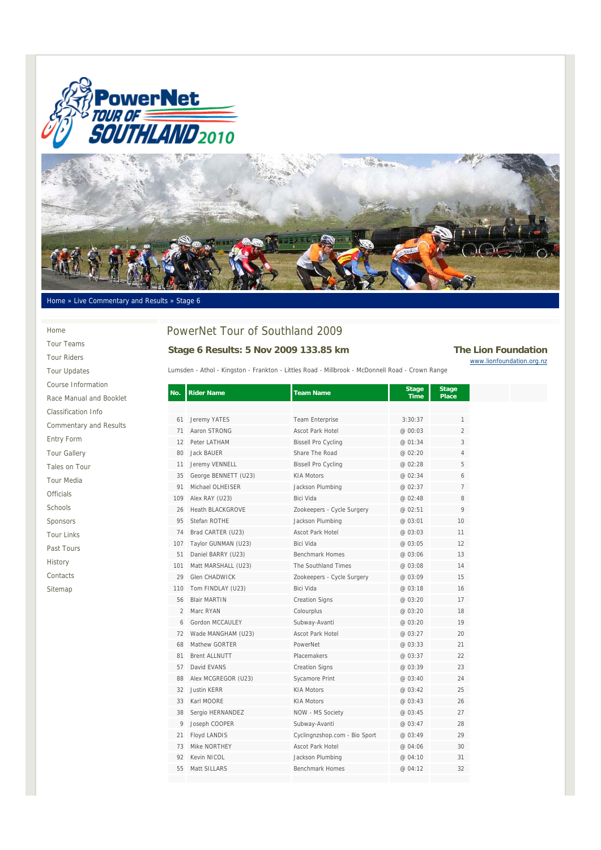



#### Home » Live Commentary and Results » Stage 6

## PowerNet Tour of Southland 2009 **Stage 6 Results: 5 Nov 2009 133.85 km The Lion Foundation**

# www.lionfoundation.org.nz

Lumsden - Athol - Kingston - Frankton - Littles Road - Millbrook - McDonnell Road - Crown Range

| No.            | <b>Rider Name</b>       | <b>Team Name</b>              | <b>Stage</b><br><b>Time</b> | <b>Stage</b><br><b>Place</b> |
|----------------|-------------------------|-------------------------------|-----------------------------|------------------------------|
|                |                         |                               |                             |                              |
| 61             | Jeremy YATES            | Team Enterprise               | 3:30:37                     | $\mathbf{1}$                 |
| 71             | Aaron STRONG            | Ascot Park Hotel              | @ 00:03                     | $\overline{2}$               |
| 12             | Peter LATHAM            | <b>Bissell Pro Cycling</b>    | @ 01:34                     | 3                            |
| 80             | <b>Jack BAUER</b>       | Share The Road                | @ 02:20                     | 4                            |
| 11             | Jeremy VENNELL          | <b>Bissell Pro Cycling</b>    | @ 02:28                     | 5                            |
| 35             | George BENNETT (U23)    | <b>KIA Motors</b>             | @ 02:34                     | 6                            |
| 91             | Michael OLHEISER        | Jackson Plumbing              | @ 02:37                     | $\overline{7}$               |
| 109            | Alex RAY (U23)          | Bici Vida                     | @ 02:48                     | 8                            |
| 26             | <b>Heath BLACKGROVE</b> | Zookeepers - Cycle Surgery    | @ 02:51                     | 9                            |
| 95             | Stefan ROTHE            | Jackson Plumbing              | @ 03:01                     | 10                           |
| 74             | Brad CARTER (U23)       | Ascot Park Hotel              | @ 03:03                     | 11                           |
| 107            | Taylor GUNMAN (U23)     | <b>Bici Vida</b>              | @ 03:05                     | 12                           |
| 51             | Daniel BARRY (U23)      | Benchmark Homes               | @ 03:06                     | 13                           |
| 101            | Matt MARSHALL (U23)     | The Southland Times           | @ 03:08                     | 14                           |
| 29             | Glen CHADWICK           | Zookeepers - Cycle Surgery    | @ 03:09                     | 15                           |
| 110            | Tom FINDLAY (U23)       | <b>Bici Vida</b>              | @ 03:18                     | 16                           |
| 56             | <b>Blair MARTIN</b>     | <b>Creation Signs</b>         | @ 03:20                     | 17                           |
| $\overline{2}$ | Marc RYAN               | Colourplus                    | @ 03:20                     | 18                           |
| 6              | Gordon MCCAULEY         | Subway-Avanti                 | @ 03:20                     | 19                           |
| 72             | Wade MANGHAM (U23)      | <b>Ascot Park Hotel</b>       | @ 03:27                     | 20                           |
| 68             | Mathew GORTER           | PowerNet                      | @ 03:33                     | 21                           |
| 81             | <b>Brent ALLNUTT</b>    | Placemakers                   | @ 03:37                     | 22                           |
| 57             | David EVANS             | <b>Creation Signs</b>         | @ 03:39                     | 23                           |
| 88             | Alex MCGREGOR (U23)     | Sycamore Print                | @ 03:40                     | 24                           |
| 32             | <b>Justin KERR</b>      | <b>KIA Motors</b>             | @ 03:42                     | 25                           |
| 33             | Karl MOORE              | <b>KIA Motors</b>             | @ 03:43                     | 26                           |
| 38             | Sergio HERNANDEZ        | NOW - MS Society              | @ 03:45                     | 27                           |
| 9              | Joseph COOPER           | Subway-Avanti                 | @ 03:47                     | 28                           |
| 21             | Floyd LANDIS            | Cyclingnzshop.com - Bio Sport | @ 03:49                     | 29                           |
| 73             | Mike NORTHEY            | <b>Ascot Park Hotel</b>       | @ 04:06                     | 30                           |
| 92             | Kevin NICOL             | Jackson Plumbing              | @ 04:10                     | 31                           |
| 55             | Matt SILLARS            | Benchmark Homes               | @ 04:12                     | 32                           |
|                |                         |                               |                             |                              |

Home Tour Teams Tour Riders Tour Updates Course Information Race Manual and Booklet Classification Info Commentary and Results Entry Form Tour Gallery Tales on Tour Tour Media Officials Schools Sponsors Tour Links Past Tours History Contacts Sitemap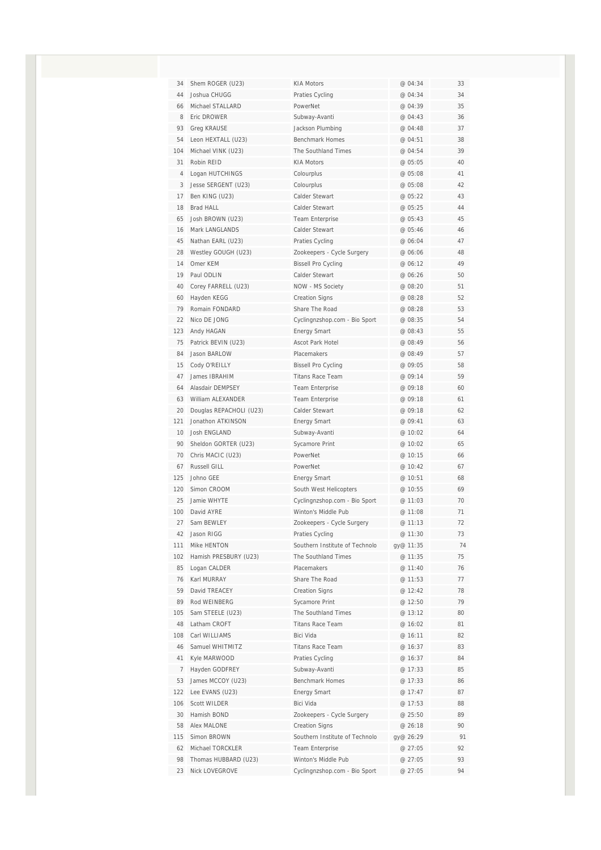| 34             | Shem ROGER (U23)                      | <b>KIA Motors</b>                                     | @ 04:34            | 33       |
|----------------|---------------------------------------|-------------------------------------------------------|--------------------|----------|
| 44             | Joshua CHUGG                          | Praties Cycling                                       | @ 04:34            | 34       |
| 66             | Michael STALLARD                      | PowerNet                                              | @ 04:39            | 35       |
| 8              | Eric DROWER                           | Subway-Avanti                                         | @ 04:43            | 36       |
| 93             | <b>Greg KRAUSE</b>                    | Jackson Plumbing                                      | @ 04:48            | 37       |
| 54             | Leon HEXTALL (U23)                    | <b>Benchmark Homes</b>                                | @ 04:51            | 38       |
| 104            | Michael VINK (U23)                    | The Southland Times                                   | @ 04:54            | 39       |
| 31             | Robin REID                            | <b>KIA Motors</b>                                     | @ 05:05            | 40       |
| $\overline{4}$ | Logan HUTCHINGS                       | Colourplus                                            | @ 05:08            | 41       |
| 3              | Jesse SERGENT (U23)                   | Colourplus                                            | @ 05:08            | 42       |
| 17             | Ben KING (U23)                        | Calder Stewart                                        | @ 05:22            | 43       |
| 18             | <b>Brad HALL</b>                      | Calder Stewart                                        | @ 05:25            | 44       |
| 65             | Josh BROWN (U23)                      | Team Enterprise                                       | @ 05:43            | 45       |
| 16             | Mark LANGLANDS                        | Calder Stewart                                        | @ 05:46            | 46       |
| 45             | Nathan EARL (U23)                     | Praties Cycling                                       | @ 06:04            | 47       |
| 28             | Westley GOUGH (U23)                   | Zookeepers - Cycle Surgery                            | @ 06:06            | 48       |
| 14             | Omer KEM                              | <b>Bissell Pro Cycling</b>                            | @ 06:12            | 49       |
| 19             | Paul ODLIN                            | Calder Stewart                                        | @ 06:26            | 50       |
| 40             | Corey FARRELL (U23)                   | NOW - MS Society                                      | @ 08:20            | 51       |
| 60             | Hayden KEGG                           | <b>Creation Signs</b>                                 | @ 08:28            | 52       |
| 79             | Romain FONDARD                        | Share The Road                                        | @ 08:28            | 53       |
| 22             | Nico DE JONG                          | Cyclingnzshop.com - Bio Sport                         | @ 08:35            | 54       |
| 123            | Andy HAGAN                            | <b>Energy Smart</b>                                   | @ 08:43            | 55       |
| 75             | Patrick BEVIN (U23)                   | Ascot Park Hotel                                      | @ 08:49            | 56       |
| 84             | Jason BARLOW                          | Placemakers                                           | @ 08:49            | 57       |
| 15             | Cody O'REILLY                         | <b>Bissell Pro Cycling</b>                            | @ 09:05            | 58       |
| 47             | James IBRAHIM                         | <b>Titans Race Team</b>                               | @ 09:14            | 59       |
| 64             | Alasdair DEMPSEY                      | Team Enterprise                                       | @ 09:18            | 60       |
| 63             | William ALEXANDER                     | Team Enterprise                                       | @ 09:18            | 61       |
| 20             | Douglas REPACHOLI (U23)               | Calder Stewart                                        | @ 09:18            | 62       |
| 121            | Jonathon ATKINSON                     | <b>Energy Smart</b>                                   | @ 09:41            | 63       |
| 10             | <b>Josh ENGLAND</b>                   | Subway-Avanti                                         | @ 10:02            | 64       |
| 90             | Sheldon GORTER (U23)                  | Sycamore Print                                        | @ 10:02            | 65       |
| 70             | Chris MACIC (U23)                     | PowerNet                                              | @ 10:15            | 66       |
| 67             | Russell GILL                          | PowerNet                                              | @ 10:42            | 67       |
| 125            | Johno GEE                             | <b>Energy Smart</b>                                   | @ 10:51            | 68       |
| 120            | Simon CROOM                           | South West Helicopters                                | @ 10:55            | 69       |
| 25             | Jamie WHYTE                           | Cyclingnzshop.com - Bio Sport                         | @ 11:03            | 70       |
| 100            | David AYRE                            | Winton's Middle Pub                                   | @ 11:08            | 71       |
| 27             | Sam BEWLEY                            | Zookeepers - Cycle Surgery                            | @ 11:13            | 72       |
| 42             | Jason RIGG                            | Praties Cycling                                       | @ 11:30            | 73       |
| 111            | Mike HENTON                           | Southern Institute of Technolo<br>The Southland Times | gy@ 11:35          | 74<br>75 |
| 102<br>85      | Hamish PRESBURY (U23)<br>Logan CALDER | Placemakers                                           | @ 11:35<br>@ 11:40 | 76       |
| 76             | Karl MURRAY                           | Share The Road                                        | @ 11:53            | 77       |
| 59             | David TREACEY                         | <b>Creation Signs</b>                                 | @ 12:42            | 78       |
| 89             | Rod WEINBERG                          | Sycamore Print                                        | @ 12:50            | 79       |
| 105            | Sam STEELE (U23)                      | The Southland Times                                   | @ 13:12            | 80       |
| 48             | Latham CROFT                          | <b>Titans Race Team</b>                               | @ 16:02            | 81       |
| 108            | Carl WILLIAMS                         | Bici Vida                                             | @ 16:11            | 82       |
| 46             | Samuel WHITMITZ                       | <b>Titans Race Team</b>                               | @ 16:37            | 83       |
| 41             | Kyle MARWOOD                          | Praties Cycling                                       | @ 16:37            | 84       |
| $\overline{7}$ | Hayden GODFREY                        | Subway-Avanti                                         | @ 17:33            | 85       |
| 53             | James MCCOY (U23)                     | <b>Benchmark Homes</b>                                | @ 17:33            | 86       |
| 122            | Lee EVANS (U23)                       | <b>Energy Smart</b>                                   | @ 17:47            | 87       |
| 106            | Scott WILDER                          | Bici Vida                                             | @ 17:53            | 88       |
| 30             | Hamish BOND                           | Zookeepers - Cycle Surgery                            | @ 25:50            | 89       |
| 58             | Alex MALONE                           | <b>Creation Signs</b>                                 | @ 26:18            | 90       |
| 115            | Simon BROWN                           | Southern Institute of Technolo                        | gy@ 26:29          | 91       |
| 62             | Michael TORCKLER                      | Team Enterprise                                       | @ 27:05            | 92       |
| 98             | Thomas HUBBARD (U23)                  | Winton's Middle Pub                                   | @ 27:05            | 93       |
| 23             | Nick LOVEGROVE                        | Cyclingnzshop.com - Bio Sport                         | @ 27:05            | 94       |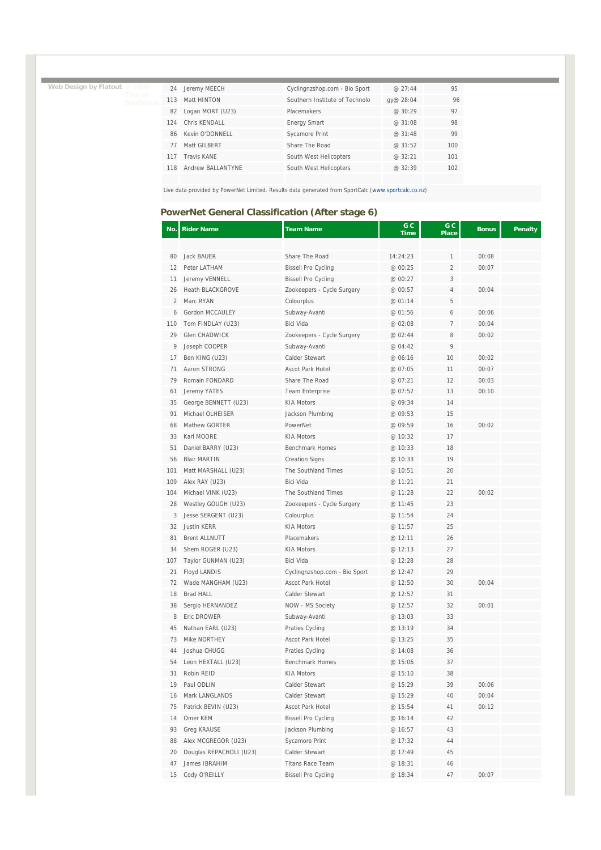**Web Design by Flatout © 2009** 

| 24  | Jeremy MEECH      | Cyclingnzshop.com - Bio Sport  | @27:44    | 95  |
|-----|-------------------|--------------------------------|-----------|-----|
| 113 | Matt HINTON       | Southern Institute of Technolo | qy@ 28:04 | 96  |
| 82  | Logan MORT (U23)  | Placemakers                    | @30:29    | 97  |
|     | 124 Chris KENDALL | <b>Energy Smart</b>            | @ 31:08   | 98  |
| 86  | Kevin O'DONNELL   | Sycamore Print                 | @ 31:48   | 99  |
| 77  | Matt GILBERT      | Share The Road                 | @31:52    | 100 |
| 117 | Travis KANF       | South West Helicopters         | @32:21    | 101 |
| 118 | Andrew BALLANTYNF | South West Helicopters         | @32:39    | 102 |
|     |                   |                                |           |     |

Live data provided by PowerNet Limited. Results data generated from SportCalc (www.sportcalc.co.nz)

#### **PowerNet General Classification (After stage 6)**

| No.            | <b>Rider Name</b>       | <b>Team Name</b>              | G C<br>Time | G C<br><b>Place</b> | <b>Bonus</b> | <b>Penalty</b> |
|----------------|-------------------------|-------------------------------|-------------|---------------------|--------------|----------------|
|                |                         |                               |             |                     |              |                |
| 80             | Jack BAUER              | Share The Road                | 14:24:23    | 1                   | 00:08        |                |
| 12             | Peter LATHAM            | <b>Bissell Pro Cycling</b>    | @ 00:25     | $\overline{2}$      | 00:07        |                |
| 11             | Jeremy VENNELL          | <b>Bissell Pro Cycling</b>    | @ 00:27     | 3                   |              |                |
| 26             | <b>Heath BLACKGROVE</b> | Zookeepers - Cycle Surgery    | @ 00:57     | $\sqrt{4}$          | 00:04        |                |
| $\overline{2}$ | Marc RYAN               | Colourplus                    | @ 01:14     | 5                   |              |                |
| 6              | Gordon MCCAULEY         | Subway-Avanti                 | @ 01:56     | 6                   | 00:06        |                |
| 110            | Tom FINDLAY (U23)       | Bici Vida                     | @ 02:08     | $\overline{7}$      | 00:04        |                |
| 29             | <b>Glen CHADWICK</b>    | Zookeepers - Cycle Surgery    | @ 02:44     | 8                   | 00:02        |                |
| 9              | Joseph COOPER           | Subway-Avanti                 | @ 04:42     | 9                   |              |                |
| 17             | Ben KING (U23)          | Calder Stewart                | @ 06:16     | 10                  | 00:02        |                |
| 71             | Aaron STRONG            | Ascot Park Hotel              | @ 07:05     | 11                  | 00:07        |                |
| 79             | Romain FONDARD          | Share The Road                | @ 07:21     | 12                  | 00:03        |                |
| 61             | Jeremy YATES            | Team Enterprise               | @ 07:52     | 13                  | 00:10        |                |
| 35             | George BENNETT (U23)    | KIA Motors                    | @ 09:34     | 14                  |              |                |
| 91             | Michael OLHEISER        | Jackson Plumbing              | @ 09:53     | 15                  |              |                |
| 68             | Mathew GORTER           | PowerNet                      | @ 09:59     | 16                  | 00:02        |                |
| 33             | Karl MOORE              | <b>KIA Motors</b>             | @ 10:32     | 17                  |              |                |
| 51             | Daniel BARRY (U23)      | <b>Benchmark Homes</b>        | @ 10:33     | 18                  |              |                |
| 56             | <b>Blair MARTIN</b>     | <b>Creation Signs</b>         | @ 10:33     | 19                  |              |                |
| 101            | Matt MARSHALL (U23)     | The Southland Times           | @ 10:51     | 20                  |              |                |
| 109            | Alex RAY (U23)          | Bici Vida                     | @ 11:21     | 21                  |              |                |
| 104            | Michael VINK (U23)      | The Southland Times           | @ 11:28     | 22                  | 00:02        |                |
| 28             | Westley GOUGH (U23)     | Zookeepers - Cycle Surgery    | @ 11:45     | 23                  |              |                |
| 3              | Jesse SERGENT (U23)     | Colourplus                    | @ 11:54     | 24                  |              |                |
| 32             | <b>Justin KERR</b>      | <b>KIA Motors</b>             | @ 11:57     | 25                  |              |                |
| 81             | <b>Brent ALLNUTT</b>    | Placemakers                   | @ 12:11     | 26                  |              |                |
| 34             | Shem ROGER (U23)        | <b>KIA Motors</b>             | @ 12:13     | 27                  |              |                |
| 107            | Taylor GUNMAN (U23)     | Bici Vida                     | @ 12:28     | 28                  |              |                |
| 21             | Floyd LANDIS            | Cyclingnzshop.com - Bio Sport | @ 12:47     | 29                  |              |                |
| 72             | Wade MANGHAM (U23)      | Ascot Park Hotel              | @ 12:50     | 30                  | 00:04        |                |
| 18             | Brad HALL               | Calder Stewart                | @ 12:57     | 31                  |              |                |
| 38             | Sergio HERNANDEZ        | NOW - MS Society              | @ 12:57     | 32                  | 00:01        |                |
| 8              | Eric DROWER             | Subway-Avanti                 | @ 13:03     | 33                  |              |                |
| 45             | Nathan EARL (U23)       | Praties Cycling               | @ 13:19     | 34                  |              |                |
| 73             | Mike NORTHEY            | Ascot Park Hotel              | @ 13:25     | 35                  |              |                |
| 44             | Joshua CHUGG            | Praties Cycling               | @ 14:08     | 36                  |              |                |
| 54             | Leon HEXTALL (U23)      | <b>Benchmark Homes</b>        | @ 15:06     | 37                  |              |                |
| 31             | Robin REID              | <b>KIA Motors</b>             | @ 15:10     | 38                  |              |                |
| 19             | Paul ODLIN              | Calder Stewart                | @ 15:29     | 39                  | 00:06        |                |
| 16             | Mark LANGLANDS          | Calder Stewart                | @ 15:29     | 40                  | 00:04        |                |
| 75             | Patrick BEVIN (U23)     | Ascot Park Hotel              | @ 15:54     | 41                  | 00:12        |                |
| 14             | Omer KEM                | <b>Bissell Pro Cycling</b>    | @ 16:14     | 42                  |              |                |
| 93             | Greg KRAUSE             | Jackson Plumbing              | @ 16:57     | 43                  |              |                |
| 88             | Alex MCGREGOR (U23)     | Sycamore Print                | @ 17:32     | 44                  |              |                |
| 20             | Douglas REPACHOLI (U23) | Calder Stewart                | @ 17:49     | 45                  |              |                |
| 47             | James IBRAHIM           | <b>Titans Race Team</b>       | @ 18:31     | 46                  |              |                |
| 15             | Cody O'REILLY           | <b>Bissell Pro Cycling</b>    | @ 18:34     | 47                  | 00:07        |                |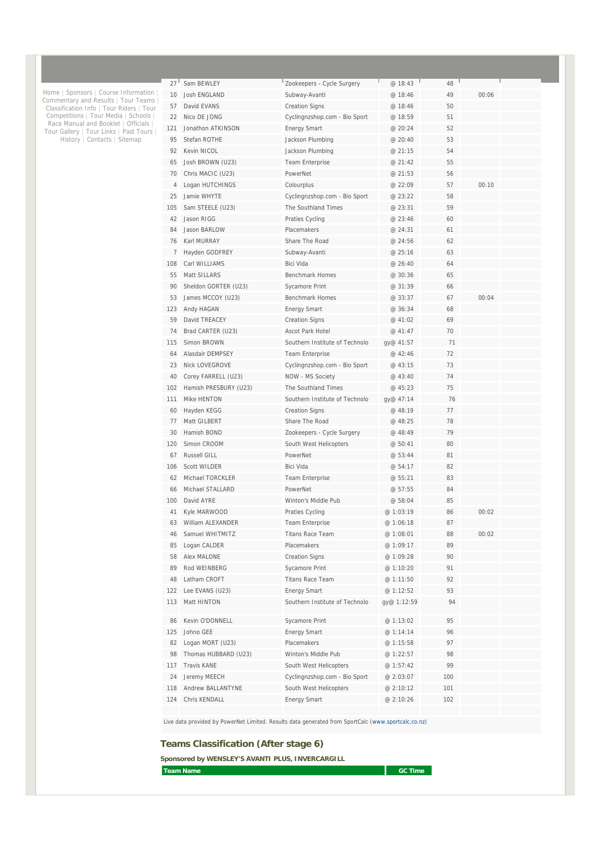| 27 <sup>1</sup><br>10<br>57 | Sam BEWLEY<br><b>Josh ENGLAND</b> | Zookeepers - Cycle Surgery<br>Subway-Avanti | @ 18:43<br>@ 18:46 | 48<br>49 | 00:06 |  |
|-----------------------------|-----------------------------------|---------------------------------------------|--------------------|----------|-------|--|
|                             |                                   |                                             |                    |          |       |  |
|                             |                                   |                                             |                    |          |       |  |
|                             | David EVANS                       | <b>Creation Signs</b>                       | @ 18:46            | 50       |       |  |
| 22                          | Nico DE JONG                      | Cyclingnzshop.com - Bio Sport               | @ 18:59            | 51       |       |  |
| 121                         | Jonathon ATKINSON                 | <b>Energy Smart</b>                         | @ 20:24            | 52       |       |  |
| 95                          | Stefan ROTHE                      | Jackson Plumbing                            | @ 20:40            | 53       |       |  |
| 92                          | Kevin NICOL                       | Jackson Plumbing                            | @ 21:15            | 54       |       |  |
| 65                          | Josh BROWN (U23)                  | Team Enterprise                             | @ 21:42            | 55       |       |  |
| 70                          | Chris MACIC (U23)                 | PowerNet                                    | @ 21:53            | 56       |       |  |
| 4                           | Logan HUTCHINGS                   | Colourplus                                  | @ 22:09            | 57       | 00:10 |  |
| 25                          | Jamie WHYTE                       | Cyclingnzshop.com - Bio Sport               | @ 23:22            | 58       |       |  |
| 105                         | Sam STEELE (U23)                  | The Southland Times                         | @ 23:31            | 59       |       |  |
| 42                          | Jason RIGG                        | Praties Cycling                             | @ 23:46            | 60       |       |  |
| 84                          | Jason BARLOW                      | Placemakers                                 | @ 24:31            | 61       |       |  |
| 76                          | Karl MURRAY                       | Share The Road                              | @ 24:56            | 62       |       |  |
| 7                           | Hayden GODFREY                    | Subway-Avanti                               | @ 25:16            | 63       |       |  |
| 108                         | Carl WILLIAMS                     | Bici Vida                                   | @ 26:40            | 64       |       |  |
| 55                          | Matt SILLARS                      | <b>Benchmark Homes</b>                      | @ 30:36            | 65       |       |  |
| 90                          | Sheldon GORTER (U23)              | Sycamore Print                              | @ 31:39            | 66       |       |  |
| 53                          | James MCCOY (U23)                 | <b>Benchmark Homes</b>                      | @ 33:37            | 67       | 00:04 |  |
| 123                         | Andy HAGAN                        | <b>Energy Smart</b>                         | @ 36:34            | 68       |       |  |
| 59                          | David TREACEY                     | <b>Creation Signs</b>                       | @ 41:02            | 69       |       |  |
| 74                          | Brad CARTER (U23)                 | Ascot Park Hotel                            | @ 41:47            | 70       |       |  |
| 115                         | Simon BROWN                       | Southern Institute of Technolo              | gy@ 41:57          | 71       |       |  |
| 64                          | Alasdair DFMPSFY                  | <b>Team Enterprise</b>                      | @ 42:46            | 72       |       |  |
| 23                          | <b>Nick LOVEGROVE</b>             | Cyclingnzshop.com - Bio Sport               | @ 43:15            | 73       |       |  |
| 40                          | Corey FARRELL (U23)               | NOW - MS Society                            | @ 43:40            | 74       |       |  |
| 102                         | Hamish PRESBURY (U23)             | The Southland Times                         | @ 45:23            | 75       |       |  |
| 111                         | Mike HENTON                       | Southern Institute of Technolo              | gy@ 47:14          | 76       |       |  |
| 60                          | Hayden KEGG                       | <b>Creation Signs</b>                       | @ 48:19            | 77       |       |  |
| 77                          | Matt GILBERT                      | Share The Road                              | @ 48:25            | 78       |       |  |
| 30                          | Hamish BOND                       | Zookeepers - Cycle Surgery                  | @ 48:49            | 79       |       |  |
| 120                         | Simon CROOM                       | South West Helicopters                      | @ 50:41            | 80       |       |  |
| 67                          | Russell GILL                      | PowerNet                                    | @ 53:44            | 81       |       |  |
| 106                         | <b>Scott WILDER</b>               | Bici Vida                                   | @ 54:17            | 82       |       |  |
| 62                          | Michael TORCKLER                  | Team Enterprise                             | @ 55:21            | 83       |       |  |
| 66                          | Michael STALLARD                  | PowerNet                                    | @ 57:55            | 84       |       |  |
| 100                         | David AYRF                        | Winton's Middle Pub                         | @ 58:04            | 85       |       |  |
| 41                          | Kyle MARWOOD                      | Praties Cycling                             | @ 1:03:19          | 86       | 00:02 |  |
| 63                          | William ALEXANDER                 | Team Enterprise                             | @ 1:06:18          | 87       |       |  |
| 46                          | Samuel WHITMITZ                   | <b>Titans Race Team</b>                     | @ 1:08:01          | 88       | 00:02 |  |
| 85                          | Logan CALDER                      | Placemakers                                 | @ 1:09:17          | 89       |       |  |
| 58                          | Alex MALONE                       | <b>Creation Signs</b>                       | @ 1:09:28          | 90       |       |  |
| 89                          | Rod WEINBERG                      | Sycamore Print                              | @ 1:10:20          | 91       |       |  |
| 48                          | Latham CROFT                      | <b>Titans Race Team</b>                     | @ 1:11:50          | 92       |       |  |
| 122                         | Lee EVANS (U23)                   | <b>Energy Smart</b>                         | @ 1:12:52          | 93       |       |  |
| 113                         | Matt HINTON                       | Southern Institute of Technolo              | gy@ 1:12:59        | 94       |       |  |
| 86                          | Kevin O'DONNELL                   | Sycamore Print                              | @ 1:13:02          | 95       |       |  |
| 125                         | Johno GEE                         | <b>Energy Smart</b>                         | @ 1:14:14          | 96       |       |  |
| 82                          | Logan MORT (U23)                  | Placemakers                                 | @ 1:15:58          | 97       |       |  |
| 98                          | Thomas HUBBARD (U23)              | Winton's Middle Pub                         | @ 1:22:57          | 98       |       |  |
| 117                         | Travis KANE                       | South West Helicopters                      | @ 1:57:42          | 99       |       |  |
|                             | Jeremy MEECH                      | Cyclingnzshop.com - Bio Sport               | @ 2:03:07          | 100      |       |  |
| 24                          |                                   |                                             |                    |          |       |  |
| 118                         | Andrew BALLANTYNE                 | South West Helicopters                      | @ 2:10:12          | 101      |       |  |

Live data provided by PowerNet Limited. Results data generated from SportCalc (www.sportcalc.co.nz)

#### **Teams Classification (After stage 6)**

Home | Sponsors | Course Information |<br>Commentary and Results | Tour Teams |<br>Classification Info | Tour Riders | Tour<br>Competitions | Tour Media | Schools |<br>Race Manual and Booklet | Officials |<br>Tour Gallery | Tour Links |

**Sponsored by WENSLEY'S AVANTI PLUS, INVERCARGILL** 

**Team Name** GC Time **GC Time GC Time**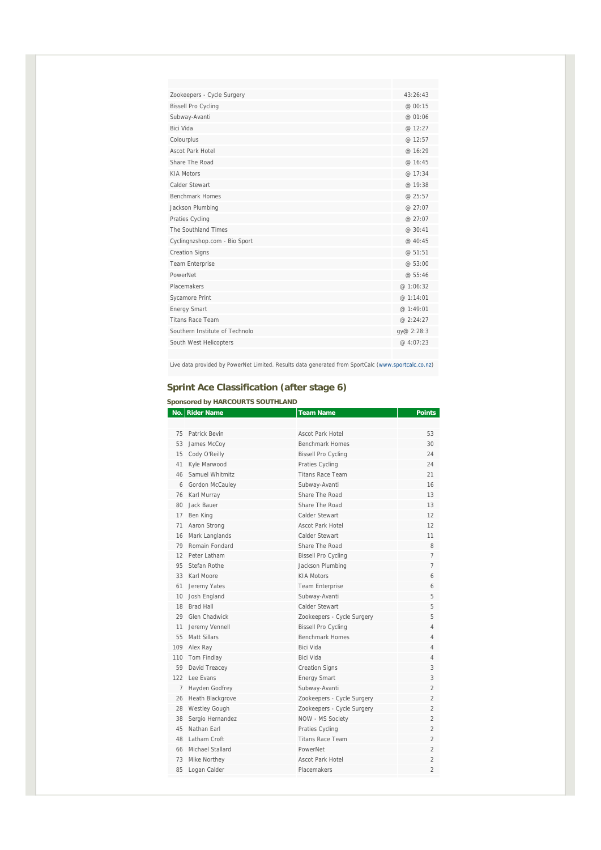| Zookeepers - Cycle Surgery     | 43:26:43   |
|--------------------------------|------------|
| <b>Bissell Pro Cycling</b>     | @ 00:15    |
| Subway-Avanti                  | @ 01:06    |
| <b>Bici Vida</b>               | @ 12:27    |
| Colourplus                     | @ 12:57    |
| Ascot Park Hotel               | @ 16:29    |
| Share The Road                 | @ 16:45    |
| <b>KIA Motors</b>              | @ 17:34    |
| Calder Stewart                 | @ 19:38    |
| <b>Benchmark Homes</b>         | @ 25:57    |
| Jackson Plumbing               | @ 27:07    |
| Praties Cycling                | @ 27:07    |
| The Southland Times            | @ 30:41    |
| Cyclingnzshop.com - Bio Sport  | @ 40:45    |
| <b>Creation Signs</b>          | @ 51:51    |
| <b>Team Enterprise</b>         | @53:00     |
| PowerNet                       | @ 55:46    |
| Placemakers                    | @ 1:06:32  |
| Sycamore Print                 | @ 1:14:01  |
| <b>Energy Smart</b>            | @ 1:49:01  |
| <b>Titans Race Team</b>        | @ 2:24:27  |
| Southern Institute of Technolo | gy@ 2:28:3 |
| South West Helicopters         | @ 4:07:23  |
|                                |            |

Live data provided by PowerNet Limited. Results data generated from SportCalc (www.sportcalc.co.nz)

#### **Sprint Ace Classification (after stage 6)**

#### **Sponsored by HARCOURTS SOUTHLAND**

|                 | No. Rider Name       | <b>Team Name</b>           | <b>Points</b>  |
|-----------------|----------------------|----------------------------|----------------|
|                 |                      |                            |                |
| 75              | Patrick Bevin        | <b>Ascot Park Hotel</b>    | 53             |
| 53              | James McCoy          | <b>Benchmark Homes</b>     | 30             |
| 15              | Cody O'Reilly        | <b>Bissell Pro Cycling</b> | 24             |
| 41              | Kyle Marwood         | Praties Cycling            | 24             |
| 46              | Samuel Whitmitz      | <b>Titans Race Team</b>    | 21             |
| 6               | Gordon McCaulev      | Subway-Avanti              | 16             |
| 76              | Karl Murray          | Share The Road             | 13             |
| 80              | Jack Bauer           | Share The Road             | 13             |
| 17              | Ben King             | Calder Stewart             | 12             |
| 71              | Aaron Strong         | Ascot Park Hotel           | 12             |
| 16              | Mark Langlands       | Calder Stewart             | 11             |
| 79              | Romain Fondard       | Share The Road             | 8              |
| 12              | Peter Latham         | <b>Bissell Pro Cycling</b> | $\overline{7}$ |
| 95              | Stefan Rothe         | Jackson Plumbing           | 7              |
| 33              | Karl Moore           | <b>KIA Motors</b>          | 6              |
| 61              | Jeremy Yates         | <b>Team Enterprise</b>     | 6              |
| 10 <sup>°</sup> | Josh England         | Subway-Avanti              | 5              |
| 18              | <b>Brad Hall</b>     | Calder Stewart             | 5              |
| 29              | Glen Chadwick        | Zookeepers - Cycle Surgery | 5              |
| 11              | Jeremy Vennell       | <b>Bissell Pro Cycling</b> | 4              |
| 55              | Matt Sillars         | <b>Benchmark Homes</b>     | 4              |
| 109             | Alex Ray             | Bici Vida                  | 4              |
| 110             | Tom Findlay          | Bici Vida                  | 4              |
| 59              | David Treacey        | <b>Creation Signs</b>      | 3              |
| 122             | Lee Evans            | <b>Energy Smart</b>        | 3              |
| $\overline{7}$  | Hayden Godfrey       | Subway-Avanti              | 2              |
| 26              | Heath Blackgrove     | Zookeepers - Cycle Surgery | $\mathfrak{D}$ |
| 28              | <b>Westley Gough</b> | Zookeepers - Cycle Surgery | 2              |
| 38              | Sergio Hernandez     | NOW - MS Society           | $\overline{2}$ |
| 45              | Nathan Farl          | Praties Cycling            | $\overline{2}$ |
| 48              | Latham Croft         | <b>Titans Race Team</b>    | $\overline{2}$ |
| 66              | Michael Stallard     | PowerNet                   | $\overline{2}$ |
| 73              | Mike Northey         | Ascot Park Hotel           | $\overline{2}$ |
| 85              | Logan Calder         | Placemakers                | $\overline{2}$ |